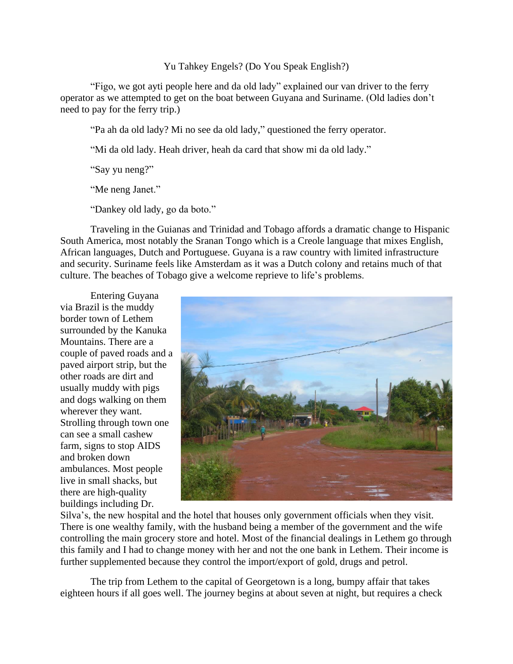## Yu Tahkey Engels? (Do You Speak English?)

"Figo, we got ayti people here and da old lady" explained our van driver to the ferry operator as we attempted to get on the boat between Guyana and Suriname. (Old ladies don't need to pay for the ferry trip.)

"Pa ah da old lady? Mi no see da old lady," questioned the ferry operator.

"Mi da old lady. Heah driver, heah da card that show mi da old lady."

"Say yu neng?"

"Me neng Janet."

"Dankey old lady, go da boto."

Traveling in the Guianas and Trinidad and Tobago affords a dramatic change to Hispanic South America, most notably the Sranan Tongo which is a Creole language that mixes English, African languages, Dutch and Portuguese. Guyana is a raw country with limited infrastructure and security. Suriname feels like Amsterdam as it was a Dutch colony and retains much of that culture. The beaches of Tobago give a welcome reprieve to life's problems.

Entering Guyana via Brazil is the muddy border town of Lethem surrounded by the Kanuka Mountains. There are a couple of paved roads and a paved airport strip, but the other roads are dirt and usually muddy with pigs and dogs walking on them wherever they want. Strolling through town one can see a small cashew farm, signs to stop AIDS and broken down ambulances. Most people live in small shacks, but there are high-quality buildings including Dr.



Silva's, the new hospital and the hotel that houses only government officials when they visit. There is one wealthy family, with the husband being a member of the government and the wife controlling the main grocery store and hotel. Most of the financial dealings in Lethem go through this family and I had to change money with her and not the one bank in Lethem. Their income is further supplemented because they control the import/export of gold, drugs and petrol.

The trip from Lethem to the capital of Georgetown is a long, bumpy affair that takes eighteen hours if all goes well. The journey begins at about seven at night, but requires a check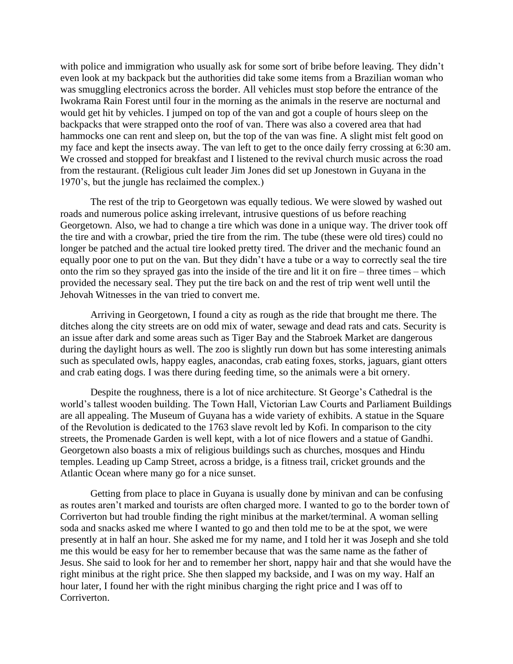with police and immigration who usually ask for some sort of bribe before leaving. They didn't even look at my backpack but the authorities did take some items from a Brazilian woman who was smuggling electronics across the border. All vehicles must stop before the entrance of the Iwokrama Rain Forest until four in the morning as the animals in the reserve are nocturnal and would get hit by vehicles. I jumped on top of the van and got a couple of hours sleep on the backpacks that were strapped onto the roof of van. There was also a covered area that had hammocks one can rent and sleep on, but the top of the van was fine. A slight mist felt good on my face and kept the insects away. The van left to get to the once daily ferry crossing at 6:30 am. We crossed and stopped for breakfast and I listened to the revival church music across the road from the restaurant. (Religious cult leader Jim Jones did set up Jonestown in Guyana in the 1970's, but the jungle has reclaimed the complex.)

The rest of the trip to Georgetown was equally tedious. We were slowed by washed out roads and numerous police asking irrelevant, intrusive questions of us before reaching Georgetown. Also, we had to change a tire which was done in a unique way. The driver took off the tire and with a crowbar, pried the tire from the rim. The tube (these were old tires) could no longer be patched and the actual tire looked pretty tired. The driver and the mechanic found an equally poor one to put on the van. But they didn't have a tube or a way to correctly seal the tire onto the rim so they sprayed gas into the inside of the tire and lit it on fire – three times – which provided the necessary seal. They put the tire back on and the rest of trip went well until the Jehovah Witnesses in the van tried to convert me.

Arriving in Georgetown, I found a city as rough as the ride that brought me there. The ditches along the city streets are on odd mix of water, sewage and dead rats and cats. Security is an issue after dark and some areas such as Tiger Bay and the Stabroek Market are dangerous during the daylight hours as well. The zoo is slightly run down but has some interesting animals such as speculated owls, happy eagles, anacondas, crab eating foxes, storks, jaguars, giant otters and crab eating dogs. I was there during feeding time, so the animals were a bit ornery.

Despite the roughness, there is a lot of nice architecture. St George's Cathedral is the world's tallest wooden building. The Town Hall, Victorian Law Courts and Parliament Buildings are all appealing. The Museum of Guyana has a wide variety of exhibits. A statue in the Square of the Revolution is dedicated to the 1763 slave revolt led by Kofi. In comparison to the city streets, the Promenade Garden is well kept, with a lot of nice flowers and a statue of Gandhi. Georgetown also boasts a mix of religious buildings such as churches, mosques and Hindu temples. Leading up Camp Street, across a bridge, is a fitness trail, cricket grounds and the Atlantic Ocean where many go for a nice sunset.

Getting from place to place in Guyana is usually done by minivan and can be confusing as routes aren't marked and tourists are often charged more. I wanted to go to the border town of Corriverton but had trouble finding the right minibus at the market/terminal. A woman selling soda and snacks asked me where I wanted to go and then told me to be at the spot, we were presently at in half an hour. She asked me for my name, and I told her it was Joseph and she told me this would be easy for her to remember because that was the same name as the father of Jesus. She said to look for her and to remember her short, nappy hair and that she would have the right minibus at the right price. She then slapped my backside, and I was on my way. Half an hour later, I found her with the right minibus charging the right price and I was off to Corriverton.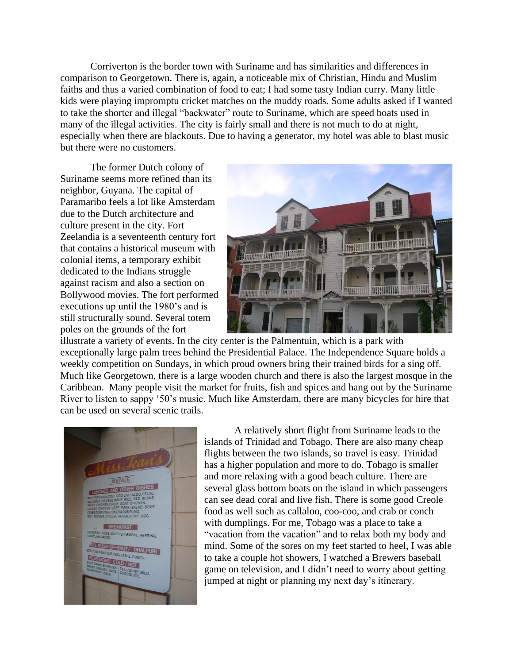Corriverton is the border town with Suriname and has similarities and differences in comparison to Georgetown. There is, again, a noticeable mix of Christian, Hindu and Muslim faiths and thus a varied combination of food to eat; I had some tasty Indian curry. Many little kids were playing impromptu cricket matches on the muddy roads. Some adults asked if I wanted to take the shorter and illegal "backwater" route to Suriname, which are speed boats used in many of the illegal activities. The city is fairly small and there is not much to do at night, especially when there are blackouts. Due to having a generator, my hotel was able to blast music but there were no customers.

The former Dutch colony of Suriname seems more refined than its neighbor, Guyana. The capital of Paramaribo feels a lot like Amsterdam due to the Dutch architecture and culture present in the city. Fort Zeelandia is a seventeenth century fort that contains a historical museum with colonial items, a temporary exhibit dedicated to the Indians struggle against racism and also a section on Bollywood movies. The fort performed executions up until the 1980's and is still structurally sound. Several totem poles on the grounds of the fort



illustrate a variety of events. In the city center is the Palmentuin, which is a park with exceptionally large palm trees behind the Presidential Palace. The Independence Square holds a weekly competition on Sundays, in which proud owners bring their trained birds for a sing off. Much like Georgetown, there is a large wooden church and there is also the largest mosque in the Caribbean. Many people visit the market for fruits, fish and spices and hang out by the Suriname River to listen to sappy '50's music. Much like Amsterdam, there are many bicycles for hire that can be used on several scenic trails.



A relatively short flight from Suriname leads to the islands of Trinidad and Tobago. There are also many cheap flights between the two islands, so travel is easy. Trinidad has a higher population and more to do. Tobago is smaller and more relaxing with a good beach culture. There are several glass bottom boats on the island in which passengers can see dead coral and live fish. There is some good Creole food as well such as callaloo, coo-coo, and crab or conch with dumplings. For me, Tobago was a place to take a "vacation from the vacation" and to relax both my body and mind. Some of the sores on my feet started to heel, I was able to take a couple hot showers, I watched a Brewers baseball game on television, and I didn't need to worry about getting jumped at night or planning my next day's itinerary.